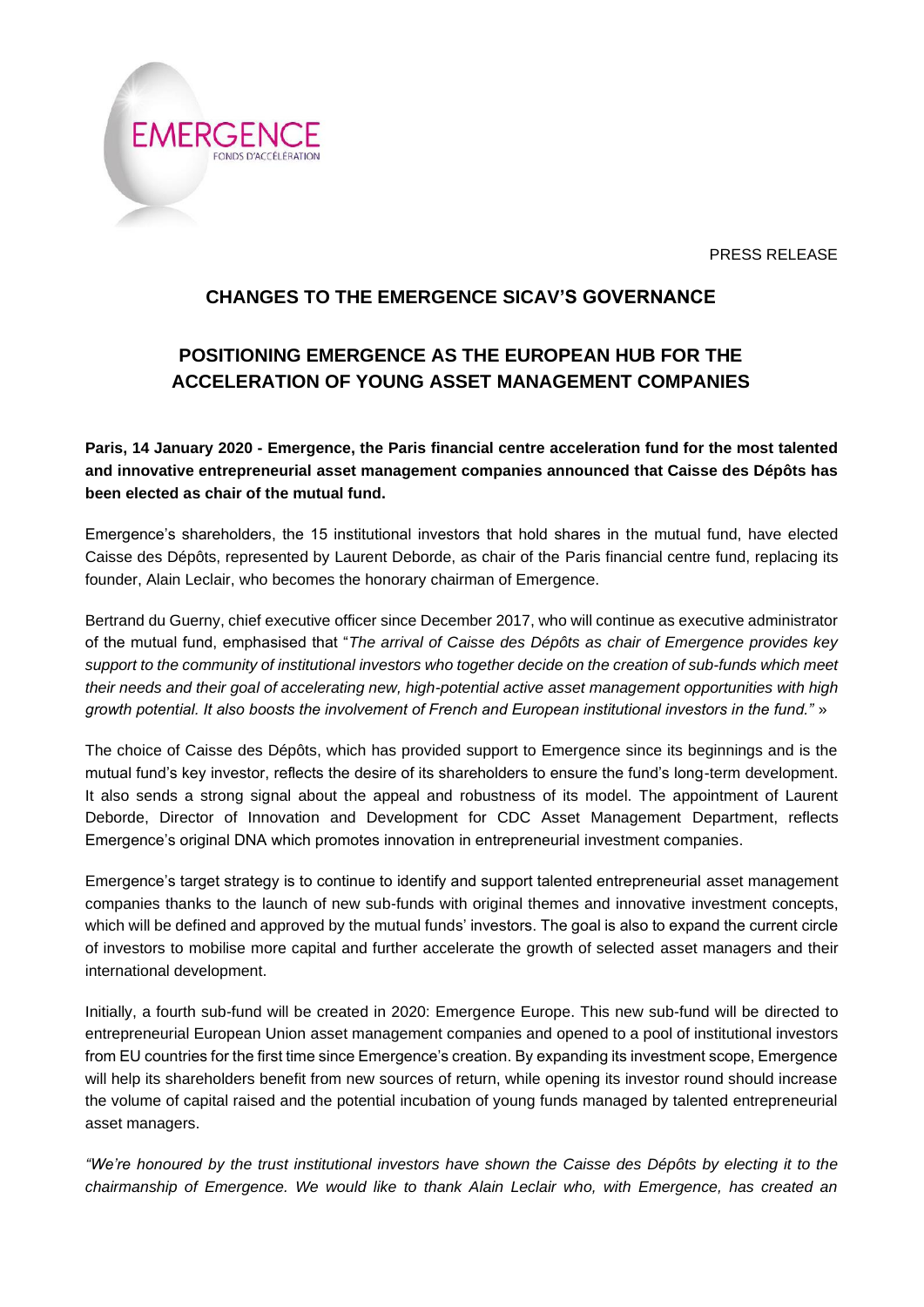PRESS RELEASE



## **CHANGES TO THE EMERGENCE SICAV'S GOVERNANCE**

# **POSITIONING EMERGENCE AS THE EUROPEAN HUB FOR THE ACCELERATION OF YOUNG ASSET MANAGEMENT COMPANIES**

**Paris, 14 January 2020 - Emergence, the Paris financial centre acceleration fund for the most talented and innovative entrepreneurial asset management companies announced that Caisse des Dépôts has been elected as chair of the mutual fund.**

Emergence's shareholders, the 15 institutional investors that hold shares in the mutual fund, have elected Caisse des Dépôts, represented by Laurent Deborde, as chair of the Paris financial centre fund, replacing its founder, Alain Leclair, who becomes the honorary chairman of Emergence.

Bertrand du Guerny, chief executive officer since December 2017, who will continue as executive administrator of the mutual fund, emphasised that "*The arrival of Caisse des Dépôts as chair of Emergence provides key support to the community of institutional investors who together decide on the creation of sub-funds which meet their needs and their goal of accelerating new, high-potential active asset management opportunities with high growth potential. It also boosts the involvement of French and European institutional investors in the fund."* »

The choice of Caisse des Dépôts, which has provided support to Emergence since its beginnings and is the mutual fund's key investor, reflects the desire of its shareholders to ensure the fund's long-term development. It also sends a strong signal about the appeal and robustness of its model. The appointment of Laurent Deborde, Director of Innovation and Development for CDC Asset Management Department, reflects Emergence's original DNA which promotes innovation in entrepreneurial investment companies.

Emergence's target strategy is to continue to identify and support talented entrepreneurial asset management companies thanks to the launch of new sub-funds with original themes and innovative investment concepts, which will be defined and approved by the mutual funds' investors. The goal is also to expand the current circle of investors to mobilise more capital and further accelerate the growth of selected asset managers and their international development.

Initially, a fourth sub-fund will be created in 2020: Emergence Europe. This new sub-fund will be directed to entrepreneurial European Union asset management companies and opened to a pool of institutional investors from EU countries for the first time since Emergence's creation. By expanding its investment scope, Emergence will help its shareholders benefit from new sources of return, while opening its investor round should increase the volume of capital raised and the potential incubation of young funds managed by talented entrepreneurial asset managers.

*"We're honoured by the trust institutional investors have shown the Caisse des Dépôts by electing it to the chairmanship of Emergence. We would like to thank Alain Leclair who, with Emergence, has created an*